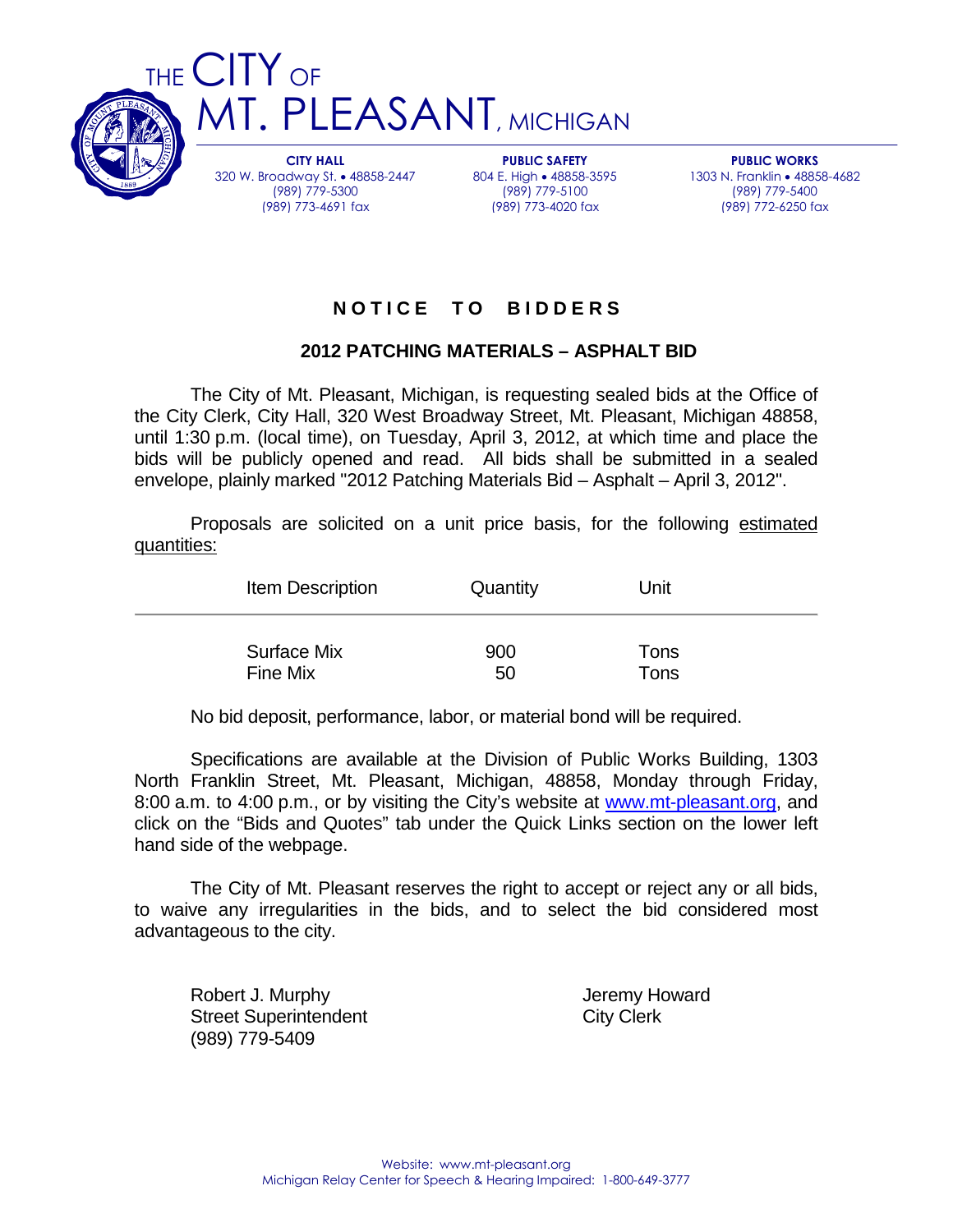

CITY HALL 320 W. Broadway St. • 48858-2447 (989) 779-5300 (989) 773-4691 fax

PUBLIC SAFETY 804 E. High • 48858-3595 (989) 779-5100 (989) 773-4020 fax

PUBLIC WORKS 1303 N. Franklin • 48858-4682 (989) 779-5400 (989) 772-6250 fax

# **N O T I C E T O B I D D E R S**

### **2012 PATCHING MATERIALS – ASPHALT BID**

 The City of Mt. Pleasant, Michigan, is requesting sealed bids at the Office of the City Clerk, City Hall, 320 West Broadway Street, Mt. Pleasant, Michigan 48858, until 1:30 p.m. (local time), on Tuesday, April 3, 2012, at which time and place the bids will be publicly opened and read. All bids shall be submitted in a sealed envelope, plainly marked "2012 Patching Materials Bid – Asphalt – April 3, 2012".

 Proposals are solicited on a unit price basis, for the following estimated quantities:

|          | Item Description   | Quantity  | Unit         |
|----------|--------------------|-----------|--------------|
| Fine Mix | <b>Surface Mix</b> | 900<br>50 | Tons<br>Tons |

No bid deposit, performance, labor, or material bond will be required.

 Specifications are available at the Division of Public Works Building, 1303 North Franklin Street, Mt. Pleasant, Michigan, 48858, Monday through Friday, 8:00 a.m. to 4:00 p.m., or by visiting the City's website at www.mt-pleasant.org, and click on the "Bids and Quotes" tab under the Quick Links section on the lower left hand side of the webpage.

 The City of Mt. Pleasant reserves the right to accept or reject any or all bids, to waive any irregularities in the bids, and to select the bid considered most advantageous to the city.

Robert J. Murphy **Internal Community** Changes are a University Jeremy Howard Street Superintendent City Clerk (989) 779-5409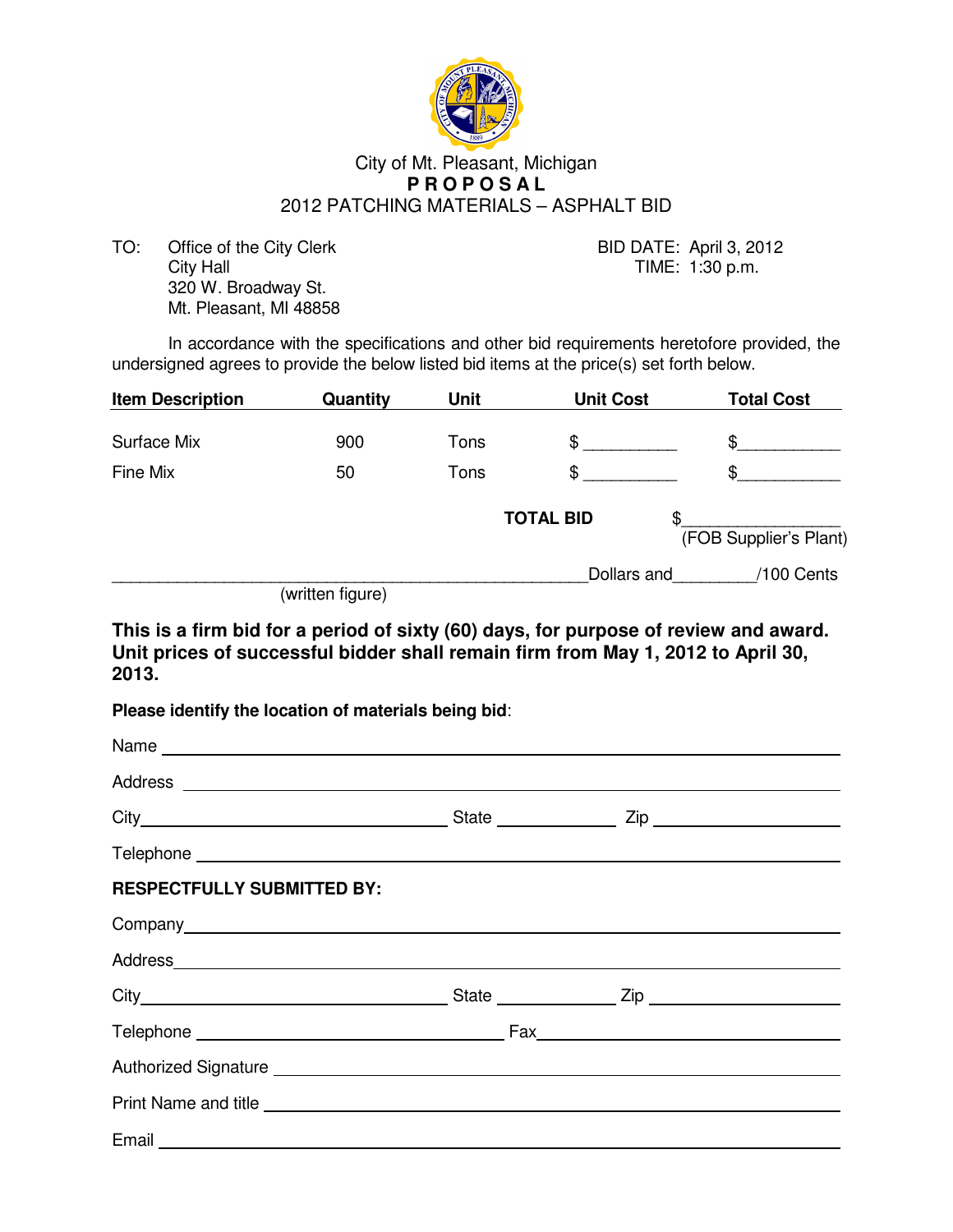

#### City of Mt. Pleasant, Michigan  **P R O P O S A L**  2012 PATCHING MATERIALS – ASPHALT BID

TO: Office of the City Clerk BID DATE: April 3, 2012 City Hall City Hall City Hall City Hall City Hall City Hall City Hall City Hall City Hall City Hall City Hall City Hall City Hall City Hall City Hall City Hall City Hall City Hall City Hall City Hall City Hall City Hall Ci 320 W. Broadway St. Mt. Pleasant, MI 48858

In accordance with the specifications and other bid requirements heretofore provided, the undersigned agrees to provide the below listed bid items at the price(s) set forth below.

| <b>Item Description</b> | Quantity         | <b>Unit</b> | <b>Unit Cost</b> | <b>Total Cost</b>            |
|-------------------------|------------------|-------------|------------------|------------------------------|
| <b>Surface Mix</b>      | 900              | Tons        | \$               | \$                           |
| Fine Mix                | 50               | Tons        | \$               | \$                           |
|                         |                  |             | <b>TOTAL BID</b> | \$<br>(FOB Supplier's Plant) |
|                         | (written figure) |             | Dollars and      | /100 Cents                   |

**This is a firm bid for a period of sixty (60) days, for purpose of review and award. Unit prices of successful bidder shall remain firm from May 1, 2012 to April 30, 2013.** 

**Please identify the location of materials being bid**:

| <b>RESPECTFULLY SUBMITTED BY:</b>                                                                                                                                                                                                    |  |  |
|--------------------------------------------------------------------------------------------------------------------------------------------------------------------------------------------------------------------------------------|--|--|
|                                                                                                                                                                                                                                      |  |  |
| Address <b>Address Address Address Address Address</b>                                                                                                                                                                               |  |  |
|                                                                                                                                                                                                                                      |  |  |
|                                                                                                                                                                                                                                      |  |  |
| Authorized Signature <b>contract and the contract of the contract of the contract of the contract of the contract of the contract of the contract of the contract of the contract of the contract of the contract of the contrac</b> |  |  |
|                                                                                                                                                                                                                                      |  |  |
|                                                                                                                                                                                                                                      |  |  |